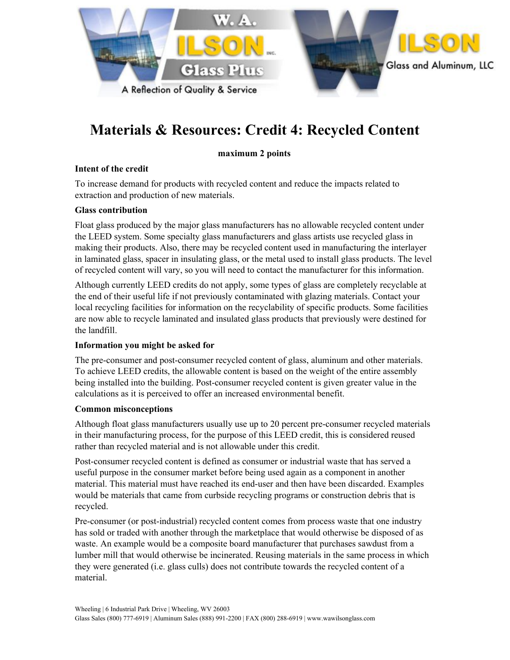

## **Materials & Resources: Credit 4: Recycled Content**

#### **maximum 2 points**

#### **Intent of the credit**

To increase demand for products with recycled content and reduce the impacts related to extraction and production of new materials.

#### **Glass contribution**

Float glass produced by the major glass manufacturers has no allowable recycled content under the LEED system. Some specialty glass manufacturers and glass artists use recycled glass in making their products. Also, there may be recycled content used in manufacturing the interlayer in laminated glass, spacer in insulating glass, or the metal used to install glass products. The level of recycled content will vary, so you will need to contact the manufacturer for this information.

Although currently LEED credits do not apply, some types of glass are completely recyclable at the end of their useful life if not previously contaminated with glazing materials. Contact your local recycling facilities for information on the recyclability of specific products. Some facilities are now able to recycle laminated and insulated glass products that previously were destined for the landfill.

#### **Information you might be asked for**

The pre-consumer and post-consumer recycled content of glass, aluminum and other materials. To achieve LEED credits, the allowable content is based on the weight of the entire assembly being installed into the building. Post-consumer recycled content is given greater value in the calculations as it is perceived to offer an increased environmental benefit.

#### **Common misconceptions**

Although float glass manufacturers usually use up to 20 percent pre-consumer recycled materials in their manufacturing process, for the purpose of this LEED credit, this is considered reused rather than recycled material and is not allowable under this credit.

Post-consumer recycled content is defined as consumer or industrial waste that has served a useful purpose in the consumer market before being used again as a component in another material. This material must have reached its end-user and then have been discarded. Examples would be materials that came from curbside recycling programs or construction debris that is recycled.

Pre-consumer (or post-industrial) recycled content comes from process waste that one industry has sold or traded with another through the marketplace that would otherwise be disposed of as waste. An example would be a composite board manufacturer that purchases sawdust from a lumber mill that would otherwise be incinerated. Reusing materials in the same process in which they were generated (i.e. glass culls) does not contribute towards the recycled content of a material.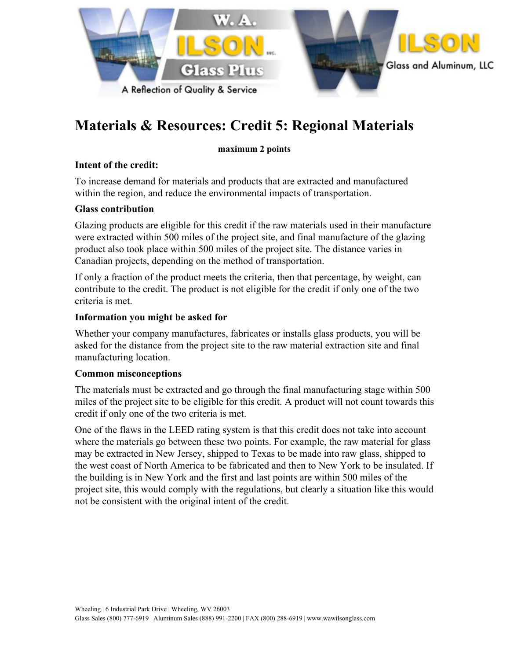

# **Materials & Resources: Credit 5: Regional Materials**

#### **maximum 2 points**

#### **Intent of the credit:**

To increase demand for materials and products that are extracted and manufactured within the region, and reduce the environmental impacts of transportation.

#### **Glass contribution**

Glazing products are eligible for this credit if the raw materials used in their manufacture were extracted within 500 miles of the project site, and final manufacture of the glazing product also took place within 500 miles of the project site. The distance varies in Canadian projects, depending on the method of transportation.

If only a fraction of the product meets the criteria, then that percentage, by weight, can contribute to the credit. The product is not eligible for the credit if only one of the two criteria is met.

#### **Information you might be asked for**

Whether your company manufactures, fabricates or installs glass products, you will be asked for the distance from the project site to the raw material extraction site and final manufacturing location.

#### **Common misconceptions**

The materials must be extracted and go through the final manufacturing stage within 500 miles of the project site to be eligible for this credit. A product will not count towards this credit if only one of the two criteria is met.

One of the flaws in the LEED rating system is that this credit does not take into account where the materials go between these two points. For example, the raw material for glass may be extracted in New Jersey, shipped to Texas to be made into raw glass, shipped to the west coast of North America to be fabricated and then to New York to be insulated. If the building is in New York and the first and last points are within 500 miles of the project site, this would comply with the regulations, but clearly a situation like this would not be consistent with the original intent of the credit.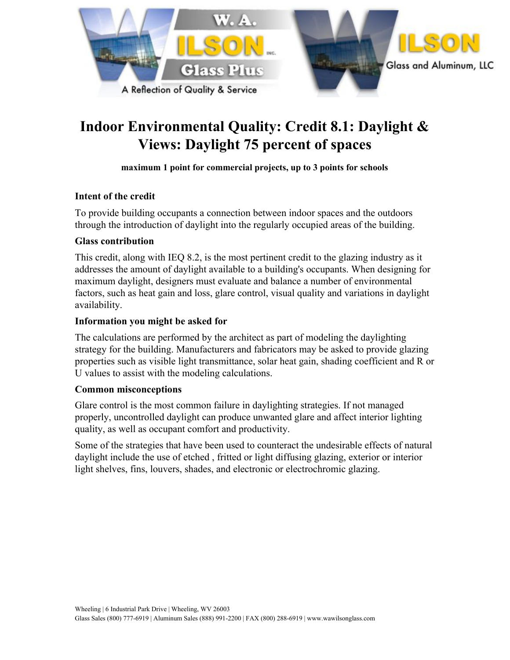

# **Indoor Environmental Quality: Credit 8.1: Daylight & Views: Daylight 75 percent of spaces**

#### **maximum 1 point for commercial projects, up to 3 points for schools**

#### **Intent of the credit**

To provide building occupants a connection between indoor spaces and the outdoors through the introduction of daylight into the regularly occupied areas of the building.

#### **Glass contribution**

This credit, along with IEQ 8.2, is the most pertinent credit to the glazing industry as it addresses the amount of daylight available to a building's occupants. When designing for maximum daylight, designers must evaluate and balance a number of environmental factors, such as heat gain and loss, glare control, visual quality and variations in daylight availability.

#### **Information you might be asked for**

The calculations are performed by the architect as part of modeling the daylighting strategy for the building. Manufacturers and fabricators may be asked to provide glazing properties such as visible light transmittance, solar heat gain, shading coefficient and R or U values to assist with the modeling calculations.

#### **Common misconceptions**

Glare control is the most common failure in daylighting strategies. If not managed properly, uncontrolled daylight can produce unwanted glare and affect interior lighting quality, as well as occupant comfort and productivity.

Some of the strategies that have been used to counteract the undesirable effects of natural daylight include the use of etched , fritted or light diffusing glazing, exterior or interior light shelves, fins, louvers, shades, and electronic or electrochromic glazing.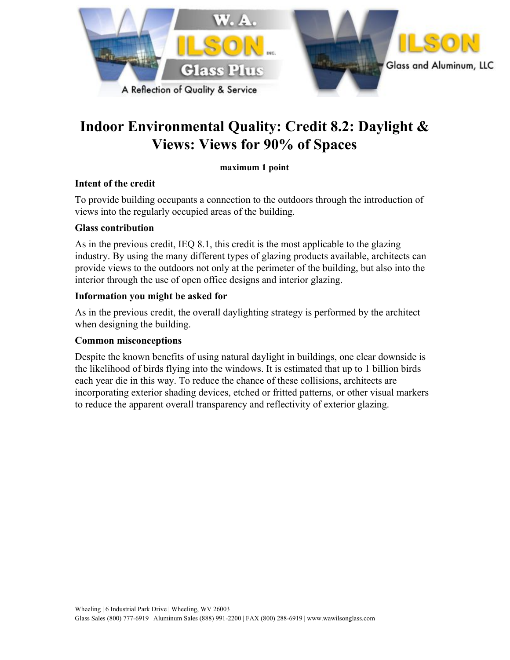

# **Indoor Environmental Quality: Credit 8.2: Daylight & Views: Views for 90% of Spaces**

#### **maximum 1 point**

#### **Intent of the credit**

To provide building occupants a connection to the outdoors through the introduction of views into the regularly occupied areas of the building.

#### **Glass contribution**

As in the previous credit, IEQ 8.1, this credit is the most applicable to the glazing industry. By using the many different types of glazing products available, architects can provide views to the outdoors not only at the perimeter of the building, but also into the interior through the use of open office designs and interior glazing.

## **Information you might be asked for**

As in the previous credit, the overall daylighting strategy is performed by the architect when designing the building.

#### **Common misconceptions**

Despite the known benefits of using natural daylight in buildings, one clear downside is the likelihood of birds flying into the windows. It is estimated that up to 1 billion birds each year die in this way. To reduce the chance of these collisions, architects are incorporating exterior shading devices, etched or fritted patterns, or other visual markers to reduce the apparent overall transparency and reflectivity of exterior glazing.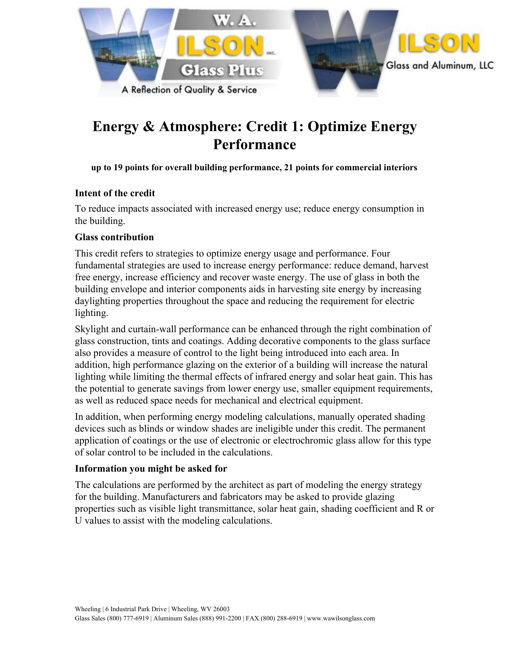

# **Energy & Atmosphere: Credit 1: Optimize Energy Performance**

**up to 19 points for overall building performance, 21 points for commercial interiors**

## **Intent of the credit**

To reduce impacts associated with increased energy use; reduce energy consumption in the building.

## **Glass contribution**

This credit refers to strategies to optimize energy usage and performance. Four fundamental strategies are used to increase energy performance: reduce demand, harvest free energy, increase efficiency and recover waste energy. The use of glass in both the building envelope and interior components aids in harvesting site energy by increasing daylighting properties throughout the space and reducing the requirement for electric lighting.

Skylight and curtain-wall performance can be enhanced through the right combination of glass construction, tints and coatings. Adding decorative components to the glass surface also provides a measure of control to the light being introduced into each area. In addition, high performance glazing on the exterior of a building will increase the natural lighting while limiting the thermal effects of infrared energy and solar heat gain. This has the potential to generate savings from lower energy use, smaller equipment requirements, as well as reduced space needs for mechanical and electrical equipment.

In addition, when performing energy modeling calculations, manually operated shading devices such as blinds or window shades are ineligible under this credit. The permanent application of coatings or the use of electronic or electrochromic glass allow for this type of solar control to be included in the calculations.

#### **Information you might be asked for**

The calculations are performed by the architect as part of modeling the energy strategy for the building. Manufacturers and fabricators may be asked to provide glazing properties such as visible light transmittance, solar heat gain, shading coefficient and R or U values to assist with the modeling calculations.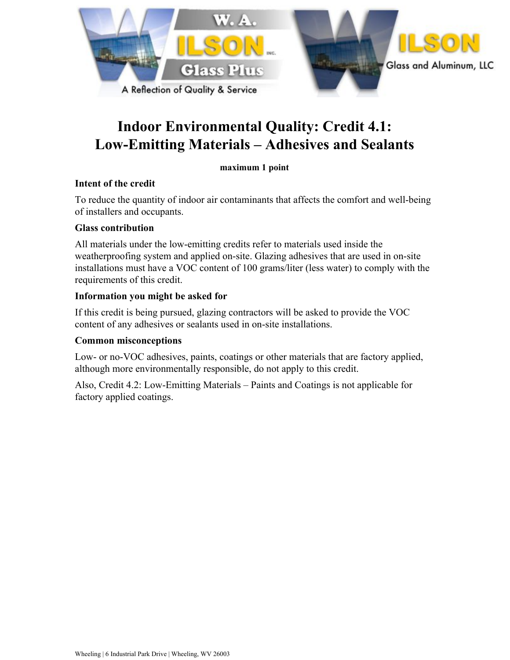

## **Indoor Environmental Quality: Credit 4.1: Low-Emitting Materials – Adhesives and Sealants**

#### **maximum 1 point**

#### **Intent of the credit**

To reduce the quantity of indoor air contaminants that affects the comfort and well-being of installers and occupants.

#### **Glass contribution**

All materials under the low-emitting credits refer to materials used inside the weatherproofing system and applied on-site. Glazing adhesives that are used in on-site installations must have a VOC content of 100 grams/liter (less water) to comply with the requirements of this credit.

#### **Information you might be asked for**

If this credit is being pursued, glazing contractors will be asked to provide the VOC content of any adhesives or sealants used in on-site installations.

#### **Common misconceptions**

Low- or no-VOC adhesives, paints, coatings or other materials that are factory applied, although more environmentally responsible, do not apply to this credit.

Also, Credit 4.2: Low-Emitting Materials – Paints and Coatings is not applicable for factory applied coatings.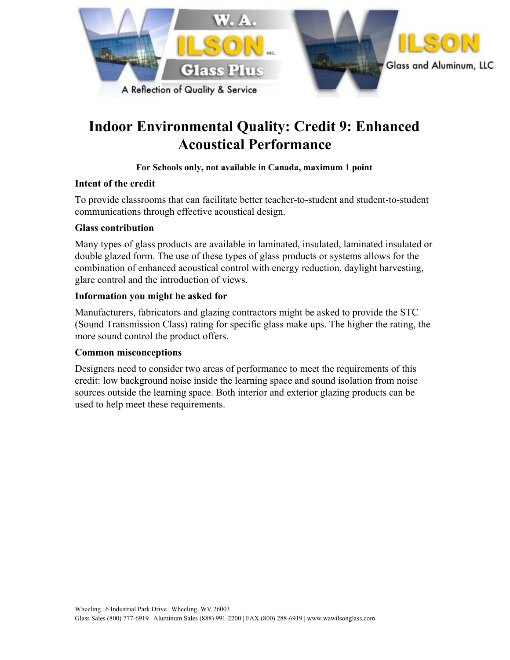

# **Indoor Environmental Quality: Credit 9: Enhanced Acoustical Performance**

#### **For Schools only, not available in Canada, maximum 1 point**

#### **Intent of the credit**

To provide classrooms that can facilitate better teacher-to-student and student-to-student communications through effective acoustical design.

#### **Glass contribution**

Many types of glass products are available in laminated, insulated, laminated insulated or double glazed form. The use of these types of glass products or systems allows for the combination of enhanced acoustical control with energy reduction, daylight harvesting, glare control and the introduction of views.

#### **Information you might be asked for**

Manufacturers, fabricators and glazing contractors might be asked to provide the STC (Sound Transmission Class) rating for specific glass make ups. The higher the rating, the more sound control the product offers.

#### **Common misconceptions**

Designers need to consider two areas of performance to meet the requirements of this credit: low background noise inside the learning space and sound isolation from noise sources outside the learning space. Both interior and exterior glazing products can be used to help meet these requirements.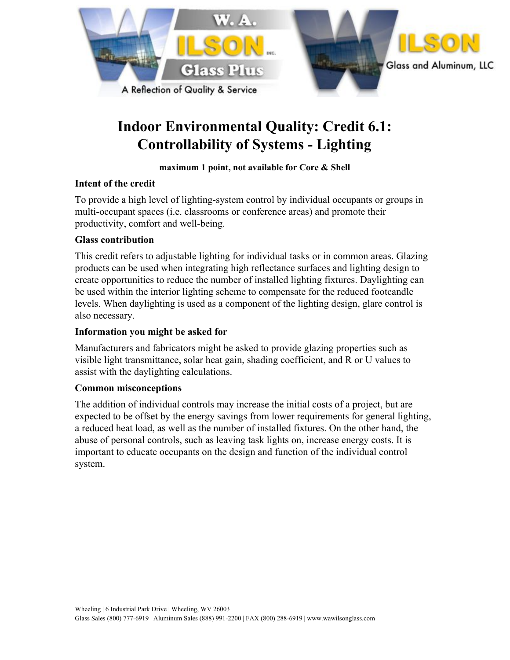

# **Indoor Environmental Quality: Credit 6.1: Controllability of Systems - Lighting**

#### **maximum 1 point, not available for Core & Shell**

## **Intent of the credit**

To provide a high level of lighting-system control by individual occupants or groups in multi-occupant spaces (i.e. classrooms or conference areas) and promote their productivity, comfort and well-being.

## **Glass contribution**

This credit refers to adjustable lighting for individual tasks or in common areas. Glazing products can be used when integrating high reflectance surfaces and lighting design to create opportunities to reduce the number of installed lighting fixtures. Daylighting can be used within the interior lighting scheme to compensate for the reduced footcandle levels. When daylighting is used as a component of the lighting design, glare control is also necessary.

#### **Information you might be asked for**

Manufacturers and fabricators might be asked to provide glazing properties such as visible light transmittance, solar heat gain, shading coefficient, and R or U values to assist with the daylighting calculations.

#### **Common misconceptions**

The addition of individual controls may increase the initial costs of a project, but are expected to be offset by the energy savings from lower requirements for general lighting, a reduced heat load, as well as the number of installed fixtures. On the other hand, the abuse of personal controls, such as leaving task lights on, increase energy costs. It is important to educate occupants on the design and function of the individual control system.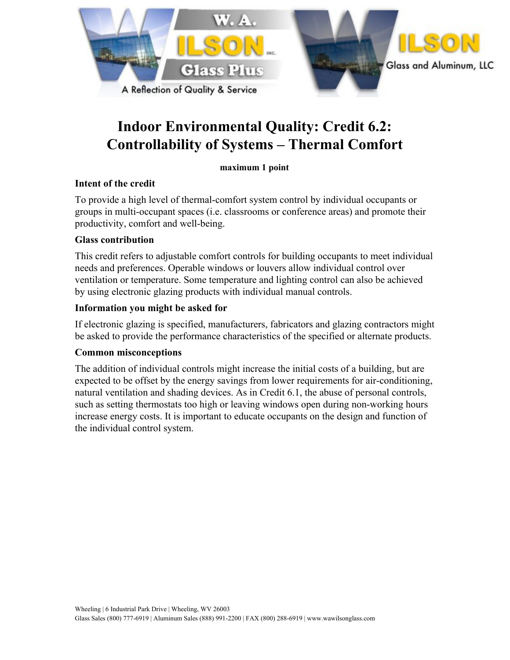

# **Indoor Environmental Quality: Credit 6.2: Controllability of Systems – Thermal Comfort**

**maximum 1 point**

## **Intent of the credit**

To provide a high level of thermal-comfort system control by individual occupants or groups in multi-occupant spaces (i.e. classrooms or conference areas) and promote their productivity, comfort and well-being.

## **Glass contribution**

This credit refers to adjustable comfort controls for building occupants to meet individual needs and preferences. Operable windows or louvers allow individual control over ventilation or temperature. Some temperature and lighting control can also be achieved by using electronic glazing products with individual manual controls.

## **Information you might be asked for**

If electronic glazing is specified, manufacturers, fabricators and glazing contractors might be asked to provide the performance characteristics of the specified or alternate products.

#### **Common misconceptions**

The addition of individual controls might increase the initial costs of a building, but are expected to be offset by the energy savings from lower requirements for air-conditioning, natural ventilation and shading devices. As in Credit 6.1, the abuse of personal controls, such as setting thermostats too high or leaving windows open during non-working hours increase energy costs. It is important to educate occupants on the design and function of the individual control system.